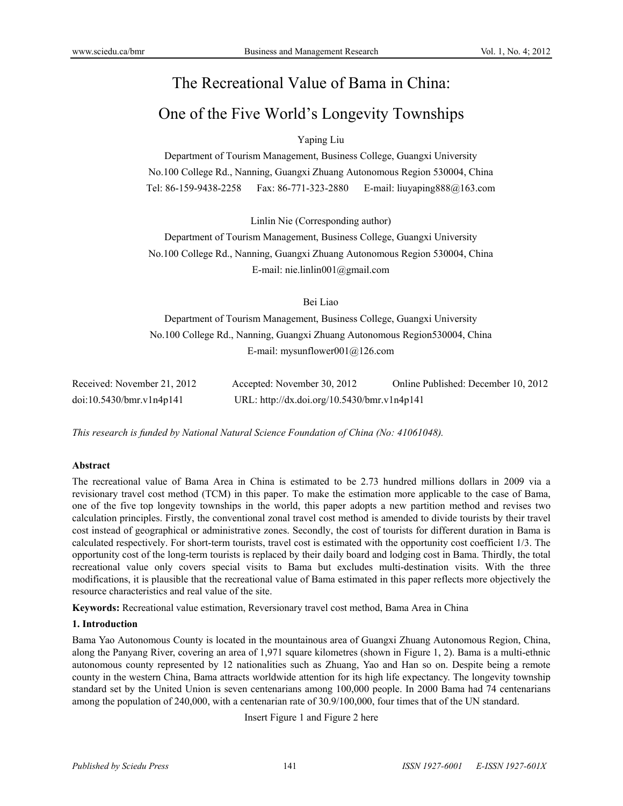# The Recreational Value of Bama in China:

# One of the Five World's Longevity Townships

# Yaping Liu

Department of Tourism Management, Business College, Guangxi University No.100 College Rd., Nanning, Guangxi Zhuang Autonomous Region 530004, China Tel: 86-159-9438-2258 Fax: 86-771-323-2880 E-mail: liuyaping888@163.com

Linlin Nie (Corresponding author)

Department of Tourism Management, Business College, Guangxi University No.100 College Rd., Nanning, Guangxi Zhuang Autonomous Region 530004, China E-mail: nie.linlin001@gmail.com

# Bei Liao

Department of Tourism Management, Business College, Guangxi University No.100 College Rd., Nanning, Guangxi Zhuang Autonomous Region530004, China E-mail: mysunflower001@126.com

| Received: November 21, 2012 | Accepted: November 30, 2012                 | Online Published: December 10, 2012 |
|-----------------------------|---------------------------------------------|-------------------------------------|
| doi:10.5430/bmr.v1n4p141    | URL: http://dx.doi.org/10.5430/bmr.v1n4p141 |                                     |

*This research is funded by National Natural Science Foundation of China (No: 41061048).* 

# **Abstract**

The recreational value of Bama Area in China is estimated to be 2.73 hundred millions dollars in 2009 via a revisionary travel cost method (TCM) in this paper. To make the estimation more applicable to the case of Bama, one of the five top longevity townships in the world, this paper adopts a new partition method and revises two calculation principles. Firstly, the conventional zonal travel cost method is amended to divide tourists by their travel cost instead of geographical or administrative zones. Secondly, the cost of tourists for different duration in Bama is calculated respectively. For short-term tourists, travel cost is estimated with the opportunity cost coefficient 1/3. The opportunity cost of the long-term tourists is replaced by their daily board and lodging cost in Bama. Thirdly, the total recreational value only covers special visits to Bama but excludes multi-destination visits. With the three modifications, it is plausible that the recreational value of Bama estimated in this paper reflects more objectively the resource characteristics and real value of the site.

**Keywords:** Recreational value estimation, Reversionary travel cost method, Bama Area in China

# **1. Introduction**

Bama Yao Autonomous County is located in the mountainous area of Guangxi Zhuang Autonomous Region, China, along the Panyang River, covering an area of 1,971 square kilometres (shown in Figure 1, 2). Bama is a multi-ethnic autonomous county represented by 12 nationalities such as Zhuang, Yao and Han so on. Despite being a remote county in the western China, Bama attracts worldwide attention for its high life expectancy. The longevity township standard set by the United Union is seven centenarians among 100,000 people. In 2000 Bama had 74 centenarians among the population of 240,000, with a centenarian rate of 30.9/100,000, four times that of the UN standard.

Insert Figure 1 and Figure 2 here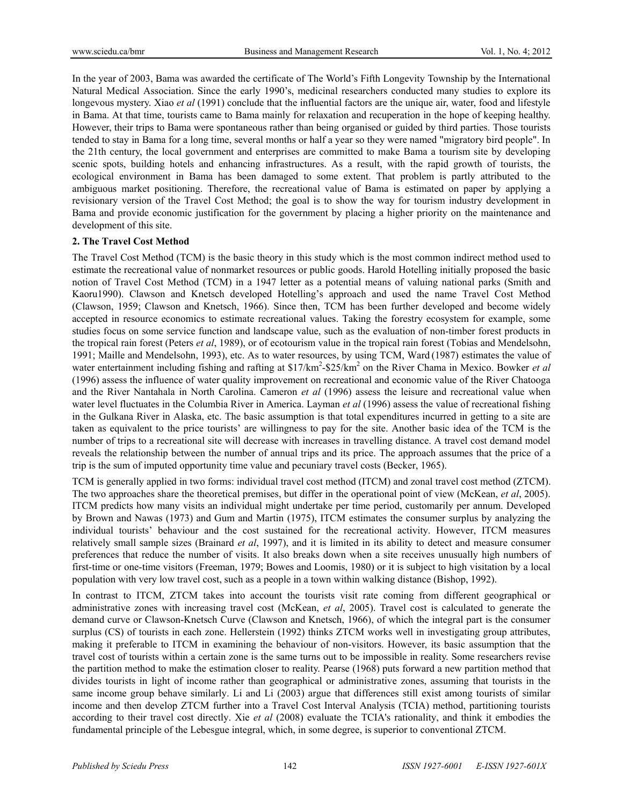In the year of 2003, Bama was awarded the certificate of The World's Fifth Longevity Township by the International Natural Medical Association. Since the early 1990's, medicinal researchers conducted many studies to explore its longevous mystery. Xiao *et al* (1991) conclude that the influential factors are the unique air, water, food and lifestyle in Bama. At that time, tourists came to Bama mainly for relaxation and recuperation in the hope of keeping healthy. However, their trips to Bama were spontaneous rather than being organised or guided by third parties. Those tourists tended to stay in Bama for a long time, several months or half a year so they were named "migratory bird people". In the 21th century, the local government and enterprises are committed to make Bama a tourism site by developing scenic spots, building hotels and enhancing infrastructures. As a result, with the rapid growth of tourists, the ecological environment in Bama has been damaged to some extent. That problem is partly attributed to the ambiguous market positioning. Therefore, the recreational value of Bama is estimated on paper by applying a revisionary version of the Travel Cost Method; the goal is to show the way for tourism industry development in Bama and provide economic justification for the government by placing a higher priority on the maintenance and development of this site.

# **2. The Travel Cost Method**

The Travel Cost Method (TCM) is the basic theory in this study which is the most common indirect method used to estimate the recreational value of nonmarket resources or public goods. Harold Hotelling initially proposed the basic notion of Travel Cost Method (TCM) in a 1947 letter as a potential means of valuing national parks (Smith and Kaoru1990). Clawson and Knetsch developed Hotelling's approach and used the name Travel Cost Method (Clawson, 1959; Clawson and Knetsch, 1966). Since then, TCM has been further developed and become widely accepted in resource economics to estimate recreational values. Taking the forestry ecosystem for example, some studies focus on some service function and landscape value, such as the evaluation of non-timber forest products in the tropical rain forest (Peters *et al*, 1989), or of ecotourism value in the tropical rain forest (Tobias and Mendelsohn, 1991; Maille and Mendelsohn, 1993), etc. As to water resources, by using TCM, Ward (1987) estimates the value of water entertainment including fishing and rafting at \$17/km<sup>2</sup>-\$25/km<sup>2</sup> on the River Chama in Mexico. Bowker *et al* (1996) assess the influence of water quality improvement on recreational and economic value of the River Chatooga and the River Nantahala in North Carolina. Cameron *et al* (1996) assess the leisure and recreational value when water level fluctuates in the Columbia River in America. Layman *et al* (1996) assess the value of recreational fishing in the Gulkana River in Alaska, etc. The basic assumption is that total expenditures incurred in getting to a site are taken as equivalent to the price tourists' are willingness to pay for the site. Another basic idea of the TCM is the number of trips to a recreational site will decrease with increases in travelling distance. A travel cost demand model reveals the relationship between the number of annual trips and its price. The approach assumes that the price of a trip is the sum of imputed opportunity time value and pecuniary travel costs (Becker, 1965).

TCM is generally applied in two forms: individual travel cost method (ITCM) and zonal travel cost method (ZTCM). The two approaches share the theoretical premises, but differ in the operational point of view (McKean, *et al*, 2005). ITCM predicts how many visits an individual might undertake per time period, customarily per annum. Developed by Brown and Nawas (1973) and Gum and Martin (1975), ITCM estimates the consumer surplus by analyzing the individual tourists' behaviour and the cost sustained for the recreational activity. However, ITCM measures relatively small sample sizes (Brainard *et al*, 1997), and it is limited in its ability to detect and measure consumer preferences that reduce the number of visits. It also breaks down when a site receives unusually high numbers of first-time or one-time visitors (Freeman, 1979; Bowes and Loomis, 1980) or it is subject to high visitation by a local population with very low travel cost, such as a people in a town within walking distance (Bishop, 1992).

In contrast to ITCM, ZTCM takes into account the tourists visit rate coming from different geographical or administrative zones with increasing travel cost (McKean, *et al*, 2005). Travel cost is calculated to generate the demand curve or Clawson-Knetsch Curve (Clawson and Knetsch, 1966), of which the integral part is the consumer surplus (CS) of tourists in each zone. Hellerstein (1992) thinks ZTCM works well in investigating group attributes, making it preferable to ITCM in examining the behaviour of non-visitors. However, its basic assumption that the travel cost of tourists within a certain zone is the same turns out to be impossible in reality. Some researchers revise the partition method to make the estimation closer to reality. Pearse (1968) puts forward a new partition method that divides tourists in light of income rather than geographical or administrative zones, assuming that tourists in the same income group behave similarly. Li and Li (2003) argue that differences still exist among tourists of similar income and then develop ZTCM further into a Travel Cost Interval Analysis (TCIA) method, partitioning tourists according to their travel cost directly. Xie *et al* (2008) evaluate the TCIA's rationality, and think it embodies the fundamental principle of the Lebesgue integral, which, in some degree, is superior to conventional ZTCM.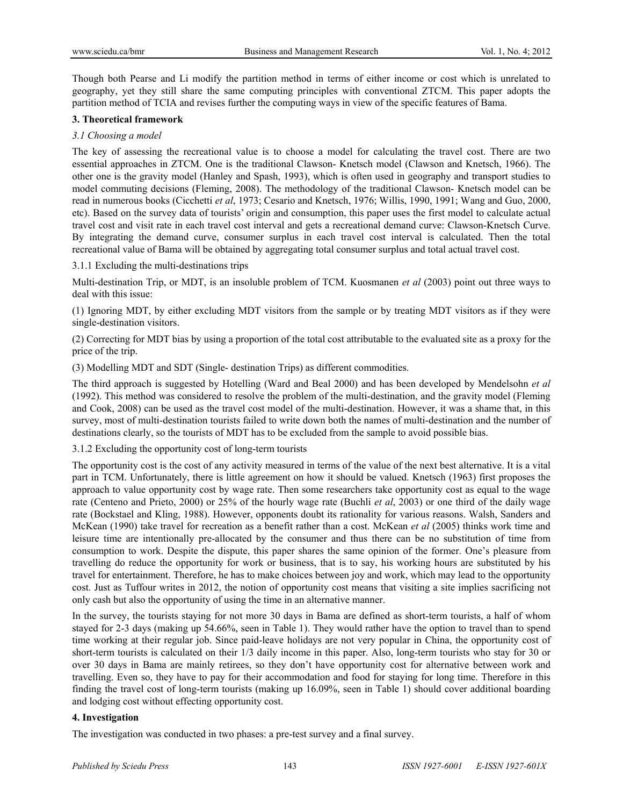Though both Pearse and Li modify the partition method in terms of either income or cost which is unrelated to geography, yet they still share the same computing principles with conventional ZTCM. This paper adopts the partition method of TCIA and revises further the computing ways in view of the specific features of Bama.

# **3. Theoretical framework**

# *3.1 Choosing a model*

The key of assessing the recreational value is to choose a model for calculating the travel cost. There are two essential approaches in ZTCM. One is the traditional Clawson- Knetsch model (Clawson and Knetsch, 1966). The other one is the gravity model (Hanley and Spash, 1993), which is often used in geography and transport studies to model commuting decisions (Fleming, 2008). The methodology of the traditional Clawson- Knetsch model can be read in numerous books (Cicchetti *et al*, 1973; Cesario and Knetsch, 1976; Willis, 1990, 1991; Wang and Guo, 2000, etc). Based on the survey data of tourists' origin and consumption, this paper uses the first model to calculate actual travel cost and visit rate in each travel cost interval and gets a recreational demand curve: Clawson-Knetsch Curve. By integrating the demand curve, consumer surplus in each travel cost interval is calculated. Then the total recreational value of Bama will be obtained by aggregating total consumer surplus and total actual travel cost.

3.1.1 Excluding the multi-destinations trips

Multi-destination Trip, or MDT, is an insoluble problem of TCM. Kuosmanen *et al* (2003) point out three ways to deal with this issue:

(1) Ignoring MDT, by either excluding MDT visitors from the sample or by treating MDT visitors as if they were single-destination visitors.

(2) Correcting for MDT bias by using a proportion of the total cost attributable to the evaluated site as a proxy for the price of the trip.

(3) Modelling MDT and SDT (Single- destination Trips) as different commodities.

The third approach is suggested by Hotelling (Ward and Beal 2000) and has been developed by Mendelsohn *et al* (1992). This method was considered to resolve the problem of the multi-destination, and the gravity model (Fleming and Cook, 2008) can be used as the travel cost model of the multi-destination. However, it was a shame that, in this survey, most of multi-destination tourists failed to write down both the names of multi-destination and the number of destinations clearly, so the tourists of MDT has to be excluded from the sample to avoid possible bias.

3.1.2 Excluding the opportunity cost of long-term tourists

The opportunity cost is the cost of any activity measured in terms of the value of the next best alternative. It is a vital part in TCM. Unfortunately, there is little agreement on how it should be valued. Knetsch (1963) first proposes the approach to value opportunity cost by wage rate. Then some researchers take opportunity cost as equal to the wage rate (Centeno and Prieto, 2000) or 25% of the hourly wage rate (Buchli *et al*, 2003) or one third of the daily wage rate (Bockstael and Kling, 1988). However, opponents doubt its rationality for various reasons. Walsh, Sanders and McKean (1990) take travel for recreation as a benefit rather than a cost. McKean *et al* (2005) thinks work time and leisure time are intentionally pre-allocated by the consumer and thus there can be no substitution of time from consumption to work. Despite the dispute, this paper shares the same opinion of the former. One's pleasure from travelling do reduce the opportunity for work or business, that is to say, his working hours are substituted by his travel for entertainment. Therefore, he has to make choices between joy and work, which may lead to the opportunity cost. Just as Tuffour writes in 2012, the notion of opportunity cost means that visiting a site implies sacrificing not only cash but also the opportunity of using the time in an alternative manner.

In the survey, the tourists staying for not more 30 days in Bama are defined as short-term tourists, a half of whom stayed for 2-3 days (making up 54.66%, seen in Table 1). They would rather have the option to travel than to spend time working at their regular job. Since paid-leave holidays are not very popular in China, the opportunity cost of short-term tourists is calculated on their 1/3 daily income in this paper. Also, long-term tourists who stay for 30 or over 30 days in Bama are mainly retirees, so they don't have opportunity cost for alternative between work and travelling. Even so, they have to pay for their accommodation and food for staying for long time. Therefore in this finding the travel cost of long-term tourists (making up 16.09%, seen in Table 1) should cover additional boarding and lodging cost without effecting opportunity cost.

# **4. Investigation**

The investigation was conducted in two phases: a pre-test survey and a final survey.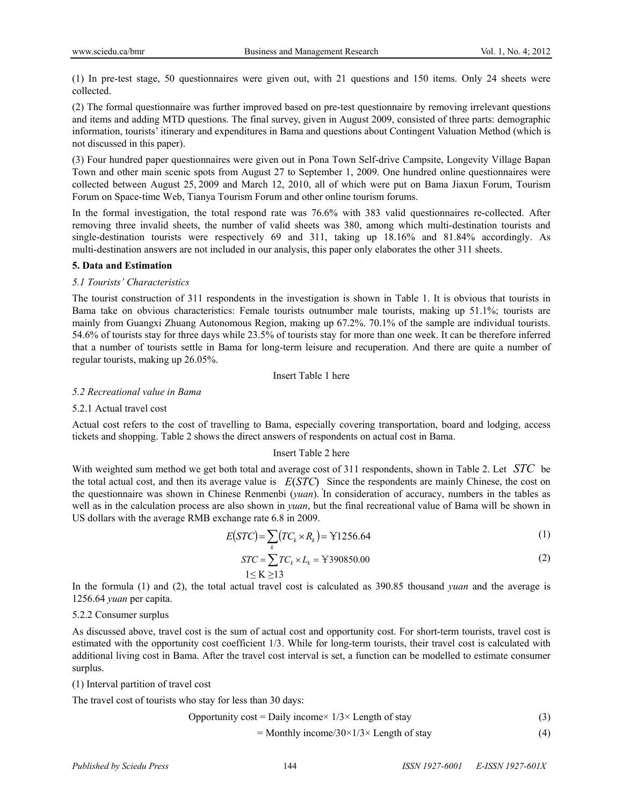(1) In pre-test stage, 50 questionnaires were given out, with 21 questions and 150 items. Only 24 sheets were collected.

(2) The formal questionnaire was further improved based on pre-test questionnaire by removing irrelevant questions and items and adding MTD questions. The final survey, given in August 2009, consisted of three parts: demographic information, tourists' itinerary and expenditures in Bama and questions about Contingent Valuation Method (which is not discussed in this paper).

(3) Four hundred paper questionnaires were given out in Pona Town Self-drive Campsite, Longevity Village Bapan Town and other main scenic spots from August 27 to September 1, 2009. One hundred online questionnaires were collected between August 25, 2009 and March 12, 2010, all of which were put on Bama Jiaxun Forum, Tourism Forum on Space-time Web, Tianya Tourism Forum and other online tourism forums.

In the formal investigation, the total respond rate was 76.6% with 383 valid questionnaires re-collected. After removing three invalid sheets, the number of valid sheets was 380, among which multi-destination tourists and single-destination tourists were respectively 69 and 311, taking up 18.16% and 81.84% accordingly. As multi-destination answers are not included in our analysis, this paper only elaborates the other 311 sheets.

#### **5. Data and Estimation**

#### *5.1 Tourists' Characteristics*

The tourist construction of 311 respondents in the investigation is shown in Table 1. It is obvious that tourists in Bama take on obvious characteristics: Female tourists outnumber male tourists, making up 51.1%; tourists are mainly from Guangxi Zhuang Autonomous Region, making up 67.2%. 70.1% of the sample are individual tourists. 54.6% of tourists stay for three days while 23.5% of tourists stay for more than one week. It can be therefore inferred that a number of tourists settle in Bama for long-term leisure and recuperation. And there are quite a number of regular tourists, making up 26.05%.

Insert Table 1 here

#### *5.2 Recreational value in Bama*

#### 5.2.1 Actual travel cost

Actual cost refers to the cost of travelling to Bama, especially covering transportation, board and lodging, access tickets and shopping. Table 2 shows the direct answers of respondents on actual cost in Bama.

#### Insert Table 2 here

With weighted sum method we get both total and average cost of 311 respondents, shown in Table 2. Let *STC* be the total actual cost, and then its average value is  $E(STC)$ . Since the respondents are mainly Chinese, the cost on the questionnaire was shown in Chinese Renmenbi (*yuan*). In consideration of accuracy, numbers in the tables as well as in the calculation process are also shown in *yuan*, but the final recreational value of Bama will be shown in US dollars with the average RMB exchange rate 6.8 in 2009.

$$
E(STC) = \sum_{k} \left( TC_k \times R_k \right) = \text{Y1256.64}
$$
\n<sup>(1)</sup>

$$
STC = \sum_{k=1}^{N} TC_k \times L_k = \text{Y390850.00}
$$
\n
$$
1 \leq K \geq 13
$$
\n
$$
(2)
$$

In the formula (1) and (2), the total actual travel cost is calculated as 390.85 thousand *yuan* and the average is 1256.64 *yuan* per capita.

# 5.2.2 Consumer surplus

As discussed above, travel cost is the sum of actual cost and opportunity cost. For short-term tourists, travel cost is estimated with the opportunity cost coefficient 1/3. While for long-term tourists, their travel cost is calculated with additional living cost in Bama. After the travel cost interval is set, a function can be modelled to estimate consumer surplus.

(1) Interval partition of travel cost

The travel cost of tourists who stay for less than 30 days:

$$
Opportunity cost = Daily income \times 1/3 \times Length of stay
$$
 (3)

$$
= \text{Monthly income/30} \times 1/3 \times \text{Length of stay} \tag{4}
$$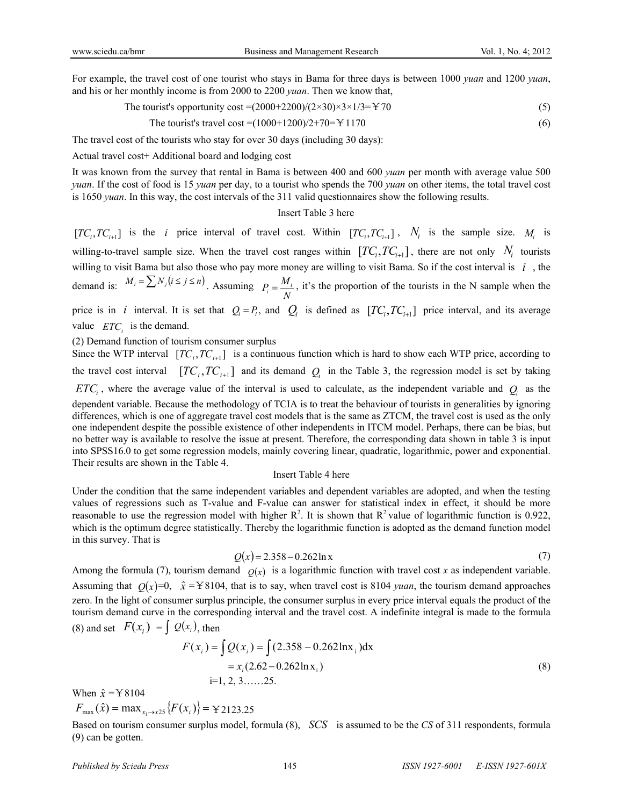For example, the travel cost of one tourist who stays in Bama for three days is between 1000 *yuan* and 1200 *yuan*, and his or her monthly income is from 2000 to 2200 *yuan*. Then we know that,

The tourist's opportunity cost =(2000+2200)/(2×30)×3×1/3= $\pm$ 70 (5)

The tourist's travel cost = 
$$
(1000+1200)/2+70=Y1170
$$
 (6)

The travel cost of the tourists who stay for over 30 days (including 30 days):

Actual travel cost+ Additional board and lodging cost

It was known from the survey that rental in Bama is between 400 and 600 *yuan* per month with average value 500 *yuan*. If the cost of food is 15 *yuan* per day, to a tourist who spends the 700 *yuan* on other items, the total travel cost is 1650 *yuan*. In this way, the cost intervals of the 311 valid questionnaires show the following results.

### Insert Table 3 here

 $[TC_i, TC_{i+1}]$  is the *i* price interval of travel cost. Within  $[TC_i, TC_{i+1}]$ ,  $N_i$  is the sample size.  $M_i$  is willing-to-travel sample size. When the travel cost ranges within  $[TC_i, TC_{i+1}]$ , there are not only  $N_i$  tourists willing to visit Bama but also those who pay more money are willing to visit Bama. So if the cost interval is  $i$ , the demand is:  $M_i = \sum N_i (i \le j \le n)$ . Assuming  $P_i = \frac{M_i}{n_i}$ , it's the proportion of the tourists in the N sample when the price is in *i* interval. It is set that  $Q_i = P_i$ , and  $Q_i$  is defined as  $[TC_i, TC_{i+1}]$  price interval, and its average  $P_i = \frac{M_i}{N}$ 

value  $ETC_i$  is the demand. (2) Demand function of tourism consumer surplus

Their results are shown in the Table 4.

Since the WTP interval  $[TC_i, TC_{i+1}]$  is a continuous function which is hard to show each WTP price, according to the travel cost interval  $[TC_i, TC_{i+1}]$  and its demand  $Q_i$  in the Table 3, the regression model is set by taking  $ETC<sub>i</sub>$ , where the average value of the interval is used to calculate, as the independent variable and  $Q<sub>i</sub>$  as the dependent variable. Because the methodology of TCIA is to treat the behaviour of tourists in generalities by ignoring differences, which is one of aggregate travel cost models that is the same as ZTCM, the travel cost is used as the only one independent despite the possible existence of other independents in ITCM model. Perhaps, there can be bias, but no better way is available to resolve the issue at present. Therefore, the corresponding data shown in table 3 is input into SPSS16.0 to get some regression models, mainly covering linear, quadratic, logarithmic, power and exponential.

#### Insert Table 4 here

Under the condition that the same independent variables and dependent variables are adopted, and when the testing values of regressions such as T-value and F-value can answer for statistical index in effect, it should be more reasonable to use the regression model with higher  $\mathbb{R}^2$ . It is shown that  $\mathbb{R}^2$  value of logarithmic function is 0.922, which is the optimum degree statistically. Thereby the logarithmic function is adopted as the demand function model in this survey. That is

$$
Q(x) = 2.358 - 0.262 \ln x \tag{7}
$$

Among the formula (7), tourism demand  $Q(x)$  is a logarithmic function with travel cost *x* as independent variable. Assuming that  $Q(x)=0$ ,  $\hat{x} = Y8104$ , that is to say, when travel cost is 8104 *yuan*, the tourism demand approaches zero. In the light of consumer surplus principle, the consumer surplus in every price interval equals the product of the tourism demand curve in the corresponding interval and the travel cost. A indefinite integral is made to the formula (8) and set  $F(x_i) = \int Q(x_i)$ , then

$$
F(x_i) = \int Q(x_i) = \int (2.358 - 0.262 \text{ln}x_i) \text{dx}
$$
  
=  $x_i (2.62 - 0.262 \text{ln}x_i)$   
i=1, 2, 3, .... .25. (8)

When  $\hat{x}$  =  $\angle$  8104

 $F_{\text{max}}(\hat{x}) = \max_{x_1 \to x25} \{ F(x_i) \} = \text{y}_{2123.25}$ 

Based on tourism consumer surplus model, formula (8), *SCS* is assumed to be the *CS* of 311 respondents, formula (9) can be gotten.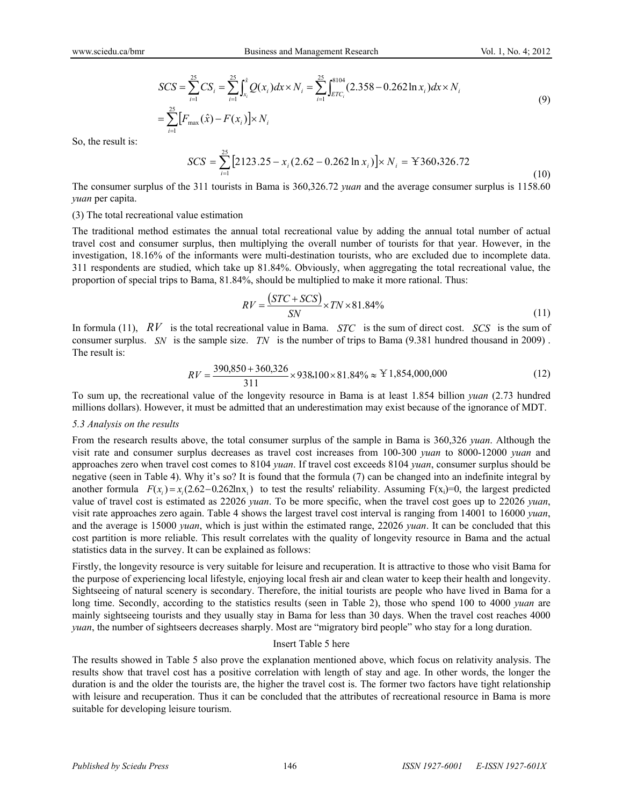$$
SCS = \sum_{i=1}^{25} CS_i = \sum_{i=1}^{25} \int_{x_i}^{x} Q(x_i) dx \times N_i = \sum_{i=1}^{25} \int_{ETC_i}^{8104} (2.358 - 0.262 \ln x_i) dx \times N_i
$$
  
= 
$$
\sum_{i=1}^{25} [F_{\text{max}}(\hat{x}) - F(x_i)] \times N_i
$$
 (9)

So, the result is:

$$
SCS = \sum_{i=1}^{25} \left[ 2123.25 - x_i (2.62 - 0.262 \ln x_i) \right] \times N_i = \text{Y} 360,326.72 \tag{10}
$$

The consumer surplus of the 311 tourists in Bama is 360,326.72 *yuan* and the average consumer surplus is 1158.60 *yuan* per capita.

#### (3) The total recreational value estimation

The traditional method estimates the annual total recreational value by adding the annual total number of actual travel cost and consumer surplus, then multiplying the overall number of tourists for that year. However, in the investigation, 18.16% of the informants were multi-destination tourists, who are excluded due to incomplete data. 311 respondents are studied, which take up 81.84%. Obviously, when aggregating the total recreational value, the proportion of special trips to Bama, 81.84%, should be multiplied to make it more rational. Thus:

$$
RV = \frac{(STC + SCS)}{SN} \times TN \times 81.84\% \tag{11}
$$

In formula (11),  $RV$  is the total recreational value in Bama.  $STC$  is the sum of direct cost.  $SCS$  is the sum of consumer surplus. *SN* is the sample size. *TN* is the number of trips to Bama  $(9.381$  hundred thousand in 2009). The result is:

$$
RV = \frac{390,850 + 360,326}{311} \times 938,100 \times 81.84\% \approx Y1,854,000,000
$$
 (12)

To sum up, the recreational value of the longevity resource in Bama is at least 1.854 billion *yuan* (2.73 hundred millions dollars). However, it must be admitted that an underestimation may exist because of the ignorance of MDT.

#### *5.3 Analysis on the results*

From the research results above, the total consumer surplus of the sample in Bama is 360,326 *yuan*. Although the visit rate and consumer surplus decreases as travel cost increases from 100-300 *yuan* to 8000-12000 *yuan* and approaches zero when travel cost comes to 8104 *yuan*. If travel cost exceeds 8104 *yuan*, consumer surplus should be negative (seen in Table 4). Why it's so? It is found that the formula (7) can be changed into an indefinite integral by another formula  $F(x_i) = x_i (2.62 - 0.262 \text{ln}x_i)$  to test the results' reliability. Assuming  $F(x_i)=0$ , the largest predicted value of travel cost is estimated as 22026 *yuan*. To be more specific, when the travel cost goes up to 22026 *yuan*, visit rate approaches zero again. Table 4 shows the largest travel cost interval is ranging from 14001 to 16000 *yuan*, and the average is 15000 *yuan*, which is just within the estimated range, 22026 *yuan*. It can be concluded that this cost partition is more reliable. This result correlates with the quality of longevity resource in Bama and the actual statistics data in the survey. It can be explained as follows:

Firstly, the longevity resource is very suitable for leisure and recuperation. It is attractive to those who visit Bama for the purpose of experiencing local lifestyle, enjoying local fresh air and clean water to keep their health and longevity. Sightseeing of natural scenery is secondary. Therefore, the initial tourists are people who have lived in Bama for a long time. Secondly, according to the statistics results (seen in Table 2), those who spend 100 to 4000 *yuan* are mainly sightseeing tourists and they usually stay in Bama for less than 30 days. When the travel cost reaches 4000 *yuan*, the number of sightseers decreases sharply. Most are "migratory bird people" who stay for a long duration.

#### Insert Table 5 here

The results showed in Table 5 also prove the explanation mentioned above, which focus on relativity analysis. The results show that travel cost has a positive correlation with length of stay and age. In other words, the longer the duration is and the older the tourists are, the higher the travel cost is. The former two factors have tight relationship with leisure and recuperation. Thus it can be concluded that the attributes of recreational resource in Bama is more suitable for developing leisure tourism.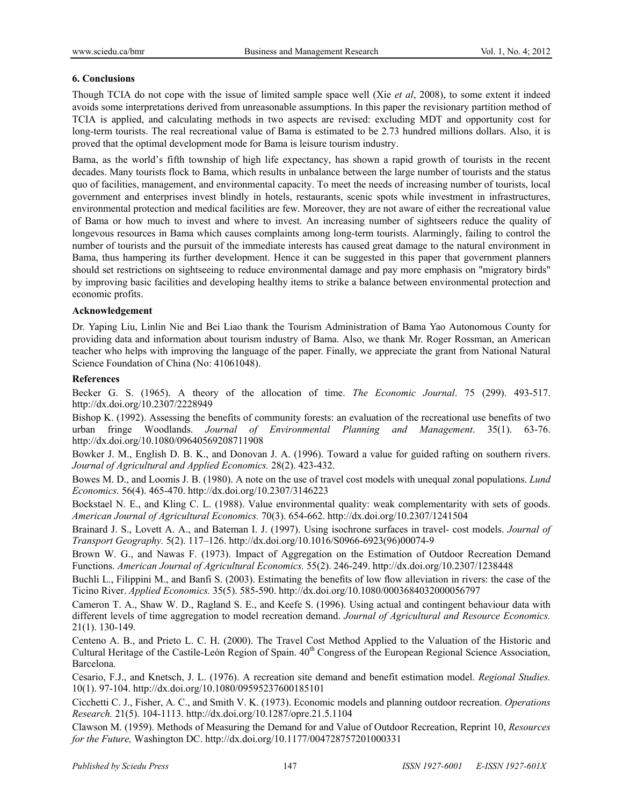# **6. Conclusions**

Though TCIA do not cope with the issue of limited sample space well (Xie *et al*, 2008), to some extent it indeed avoids some interpretations derived from unreasonable assumptions. In this paper the revisionary partition method of TCIA is applied, and calculating methods in two aspects are revised: excluding MDT and opportunity cost for long-term tourists. The real recreational value of Bama is estimated to be 2.73 hundred millions dollars. Also, it is proved that the optimal development mode for Bama is leisure tourism industry.

Bama, as the world's fifth township of high life expectancy, has shown a rapid growth of tourists in the recent decades. Many tourists flock to Bama, which results in unbalance between the large number of tourists and the status quo of facilities, management, and environmental capacity. To meet the needs of increasing number of tourists, local government and enterprises invest blindly in hotels, restaurants, scenic spots while investment in infrastructures, environmental protection and medical facilities are few. Moreover, they are not aware of either the recreational value of Bama or how much to invest and where to invest. An increasing number of sightseers reduce the quality of longevous resources in Bama which causes complaints among long-term tourists. Alarmingly, failing to control the number of tourists and the pursuit of the immediate interests has caused great damage to the natural environment in Bama, thus hampering its further development. Hence it can be suggested in this paper that government planners should set restrictions on sightseeing to reduce environmental damage and pay more emphasis on "migratory birds" by improving basic facilities and developing healthy items to strike a balance between environmental protection and economic profits.

# **Acknowledgement**

Dr. Yaping Liu, Linlin Nie and Bei Liao thank the Tourism Administration of Bama Yao Autonomous County for providing data and information about tourism industry of Bama. Also, we thank Mr. Roger Rossman, an American teacher who helps with improving the language of the paper. Finally, we appreciate the grant from National Natural Science Foundation of China (No: 41061048).

# **References**

Becker G. S. (1965). A theory of the allocation of time. *The Economic Journal*. 75 (299). 493-517. http://dx.doi.org/10.2307/2228949

Bishop K. (1992). Assessing the benefits of community forests: an evaluation of the recreational use benefits of two urban fringe Woodlands. *Journal of Environmental Planning and Management*. 35(1). 63-76. http://dx.doi.org/10.1080/09640569208711908

Bowker J. M., English D. B. K., and Donovan J. A. (1996). Toward a value for guided rafting on southern rivers. *Journal of Agricultural and Applied Economics.* 28(2). 423-432.

Bowes M. D., and Loomis J. B. (1980). A note on the use of travel cost models with unequal zonal populations. *Lund Economics.* 56(4). 465-470. http://dx.doi.org/10.2307/3146223

Bockstael N. E., and Kling C. L. (1988). Value environmental quality: weak complementarity with sets of goods. *American Journal of Agricultural Economics.* 70(3). 654-662. http://dx.doi.org/10.2307/1241504

Brainard J. S., Lovett A. A., and Bateman I. J. (1997). Using isochrone surfaces in travel- cost models. *Journal of Transport Geography.* 5(2). 117–126. http://dx.doi.org/10.1016/S0966-6923(96)00074-9

Brown W. G., and Nawas F. (1973). Impact of Aggregation on the Estimation of Outdoor Recreation Demand Functions. *American Journal of Agricultural Economics.* 55(2). 246-249. http://dx.doi.org/10.2307/1238448

Buchli L., Filippini M., and Banfi S. (2003). Estimating the benefits of low flow alleviation in rivers: the case of the Ticino River. *Applied Economics.* 35(5). 585-590. http://dx.doi.org/10.1080/0003684032000056797

Cameron T. A., Shaw W. D., Ragland S. E., and Keefe S. (1996). Using actual and contingent behaviour data with different levels of time aggregation to model recreation demand. *Journal of Agricultural and Resource Economics.*  21(1). 130-149.

Centeno A. B., and Prieto L. C. H. (2000). The Travel Cost Method Applied to the Valuation of the Historic and Cultural Heritage of the Castile-León Region of Spain.  $40<sup>th</sup>$  Congress of the European Regional Science Association, Barcelona.

Cesario, F.J., and Knetsch, J. L. (1976). A recreation site demand and benefit estimation model. *Regional Studies.*  10(1). 97-104. http://dx.doi.org/10.1080/09595237600185101

Cicchetti C. J., Fisher, A. C., and Smith V. K. (1973). Economic models and planning outdoor recreation. *Operations Research.* 21(5). 104-1113. http://dx.doi.org/10.1287/opre.21.5.1104

Clawson M. (1959). Methods of Measuring the Demand for and Value of Outdoor Recreation, Reprint 10, *Resources for the Future,* Washington DC. http://dx.doi.org/10.1177/004728757201000331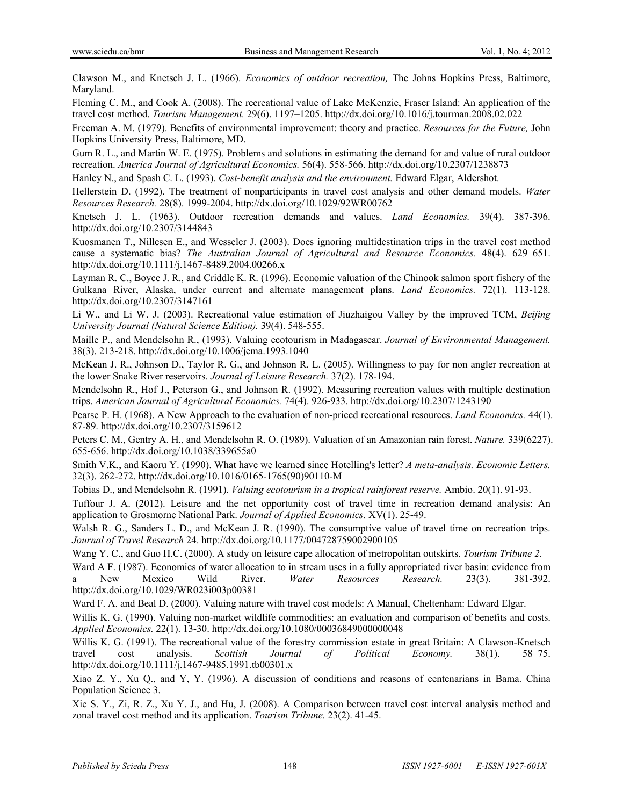Clawson M., and Knetsch J. L. (1966). *Economics of outdoor recreation,* The Johns Hopkins Press, Baltimore, Maryland.

Fleming C. M., and Cook A. (2008). The recreational value of Lake McKenzie, Fraser Island: An application of the travel cost method. *Tourism Management.* 29(6). 1197–1205. http://dx.doi.org/10.1016/j.tourman.2008.02.022

Freeman A. M. (1979). Benefits of environmental improvement: theory and practice. *Resources for the Future,* John Hopkins University Press, Baltimore, MD.

Gum R. L., and Martin W. E. (1975). Problems and solutions in estimating the demand for and value of rural outdoor recreation. *America Journal of Agricultural Economics.* 56(4). 558-566. http://dx.doi.org/10.2307/1238873

Hanley N., and Spash C. L. (1993). *Cost-benefit analysis and the environment.* Edward Elgar, Aldershot.

Hellerstein D. (1992). The treatment of nonparticipants in travel cost analysis and other demand models. *Water Resources Research.* 28(8). 1999-2004. http://dx.doi.org/10.1029/92WR00762

Knetsch J. L. (1963). Outdoor recreation demands and values. *Land Economics.* 39(4). 387-396. http://dx.doi.org/10.2307/3144843

Kuosmanen T., Nillesen E., and Wesseler J. (2003). Does ignoring multidestination trips in the travel cost method cause a systematic bias? *The Australian Journal of Agricultural and Resource Economics.* 48(4). 629–651. http://dx.doi.org/10.1111/j.1467-8489.2004.00266.x

Layman R. C., Boyce J. R., and Criddle K. R. (1996). Economic valuation of the Chinook salmon sport fishery of the Gulkana River, Alaska, under current and alternate management plans. *Land Economics.* 72(1). 113-128. http://dx.doi.org/10.2307/3147161

Li W., and Li W. J. (2003). Recreational value estimation of Jiuzhaigou Valley by the improved TCM, *Beijing University Journal (Natural Science Edition).* 39(4). 548-555.

Maille P., and Mendelsohn R., (1993). Valuing ecotourism in Madagascar. *Journal of Environmental Management.*  38(3). 213-218. http://dx.doi.org/10.1006/jema.1993.1040

McKean J. R., Johnson D., Taylor R. G., and Johnson R. L. (2005). Willingness to pay for non angler recreation at the lower Snake River reservoirs. *Journal of Leisure Research.* 37(2). 178-194.

Mendelsohn R., Hof J., Peterson G., and Johnson R. (1992). Measuring recreation values with multiple destination trips. *American Journal of Agricultural Economics.* 74(4). 926-933. http://dx.doi.org/10.2307/1243190

Pearse P. H. (1968). A New Approach to the evaluation of non-priced recreational resources. *Land Economics.* 44(1). 87-89. http://dx.doi.org/10.2307/3159612

Peters C. M., Gentry A. H., and Mendelsohn R. O. (1989). Valuation of an Amazonian rain forest. *Nature.* 339(6227). 655-656. http://dx.doi.org/10.1038/339655a0

Smith V.K., and Kaoru Y. (1990). What have we learned since Hotelling's letter? *A meta-analysis. Economic Letters.*  32(3). 262-272. http://dx.doi.org/10.1016/0165-1765(90)90110-M

Tobias D., and Mendelsohn R. (1991). *Valuing ecotourism in a tropical rainforest reserve.* Ambio. 20(1). 91-93.

Tuffour J. A. (2012). Leisure and the net opportunity cost of travel time in recreation demand analysis: An application to Grosmorne National Park. *Journal of Applied Economics.* XV(1). 25-49.

Walsh R. G., Sanders L. D., and McKean J. R. (1990). The consumptive value of travel time on recreation trips. *Journal of Travel Research* 24. http://dx.doi.org/10.1177/004728759002900105

Wang Y. C., and Guo H.C. (2000). A study on leisure cape allocation of metropolitan outskirts. *Tourism Tribune 2.*

Ward A F. (1987). Economics of water allocation to in stream uses in a fully appropriated river basin: evidence from a New Mexico Wild River. *Water Resources Research.* 23(3). 381-392. http://dx.doi.org/10.1029/WR023i003p00381

Ward F. A. and Beal D. (2000). Valuing nature with travel cost models: A Manual, Cheltenham: Edward Elgar.

Willis K. G. (1990). Valuing non-market wildlife commodities: an evaluation and comparison of benefits and costs. *Applied Economics.* 22(1). 13-30. http://dx.doi.org/10.1080/00036849000000048

Willis K. G. (1991). The recreational value of the forestry commission estate in great Britain: A Clawson-Knetsch travel cost analysis. *Scottish Journal of Political Economy.* 38(1). 58–75. http://dx.doi.org/10.1111/j.1467-9485.1991.tb00301.x

Xiao Z. Y., Xu Q., and Y, Y. (1996). A discussion of conditions and reasons of centenarians in Bama. China Population Science 3.

Xie S. Y., Zi, R. Z., Xu Y. J., and Hu, J. (2008). A Comparison between travel cost interval analysis method and zonal travel cost method and its application. *Tourism Tribune.* 23(2). 41-45.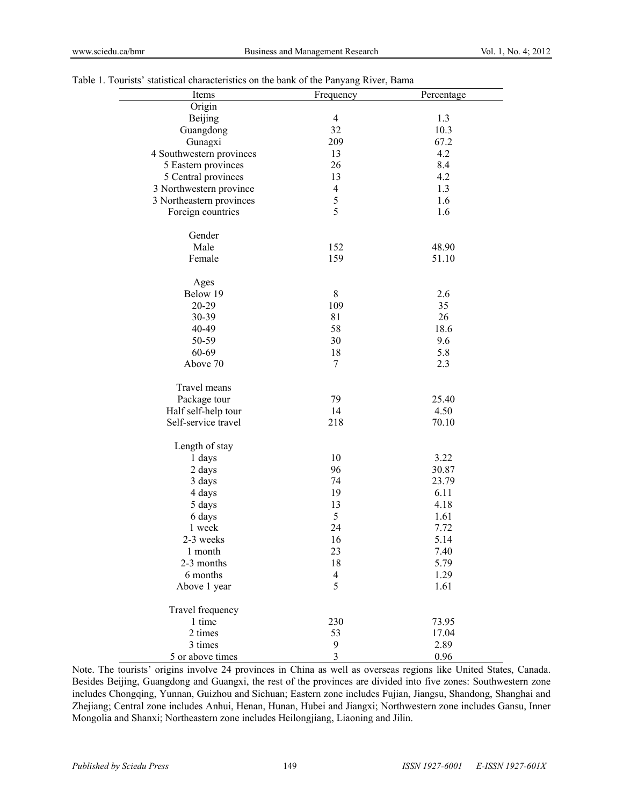| able 1. Tourists statistical characteristics on the bank of the Panyang River, Bama |                |            |
|-------------------------------------------------------------------------------------|----------------|------------|
| Items                                                                               | Frequency      | Percentage |
| Origin                                                                              |                |            |
| Beijing                                                                             | $\overline{4}$ | 1.3        |
| Guangdong                                                                           | 32             | 10.3       |
| Gunagxi                                                                             | 209            | 67.2       |
| 4 Southwestern provinces                                                            | 13             | 4.2        |
| 5 Eastern provinces                                                                 | 26             | 8.4        |
| 5 Central provinces                                                                 | 13             | 4.2        |
| 3 Northwestern province                                                             | $\overline{4}$ | 1.3        |
| 3 Northeastern provinces                                                            | $\sqrt{5}$     | 1.6        |
| Foreign countries                                                                   | 5              | 1.6        |
| Gender                                                                              |                |            |
| Male                                                                                | 152            | 48.90      |
| Female                                                                              | 159            | 51.10      |
| Ages                                                                                |                |            |
| Below 19                                                                            | $8\,$          | 2.6        |
| 20-29                                                                               | 109            | 35         |
| 30-39                                                                               | 81             | 26         |
| 40-49                                                                               | 58             | 18.6       |
| 50-59                                                                               | 30             | 9.6        |
| 60-69                                                                               | 18             | 5.8        |
| Above 70                                                                            | $\overline{7}$ | 2.3        |
| Travel means                                                                        |                |            |
| Package tour                                                                        | 79             | 25.40      |
| Half self-help tour                                                                 | 14             | 4.50       |
| Self-service travel                                                                 | 218            | 70.10      |
| Length of stay                                                                      |                |            |
| 1 days                                                                              | 10             | 3.22       |
| 2 days                                                                              | 96             | 30.87      |
| 3 days                                                                              | 74             | 23.79      |
| 4 days                                                                              | 19             | 6.11       |
| 5 days                                                                              | 13             | 4.18       |
| 6 days                                                                              | 5              | 1.61       |
| 1 week                                                                              | 24             | 7.72       |
| 2-3 weeks                                                                           | 16             | 5.14       |
| 1 month                                                                             | 23             | 7.40       |
| 2-3 months                                                                          | 18             | 5.79       |
| 6 months                                                                            | $\overline{4}$ | 1.29       |
| Above 1 year                                                                        | 5              | 1.61       |
| Travel frequency                                                                    |                |            |
| 1 time                                                                              | 230            | 73.95      |
| 2 times                                                                             | 53             | 17.04      |
| 3 times                                                                             | 9              | 2.89       |
| 5 or above times                                                                    | 3              | 0.96       |

# Table 1. Tourists' statistical characteristics on the bank of the Panyang River, B

Note. The tourists' origins involve 24 provinces in China as well as overseas regions like United States, Canada. Besides Beijing, Guangdong and Guangxi, the rest of the provinces are divided into five zones: Southwestern zone includes Chongqing, Yunnan, Guizhou and Sichuan; Eastern zone includes Fujian, Jiangsu, Shandong, Shanghai and Zhejiang; Central zone includes Anhui, Henan, Hunan, Hubei and Jiangxi; Northwestern zone includes Gansu, Inner Mongolia and Shanxi; Northeastern zone includes Heilongjiang, Liaoning and Jilin.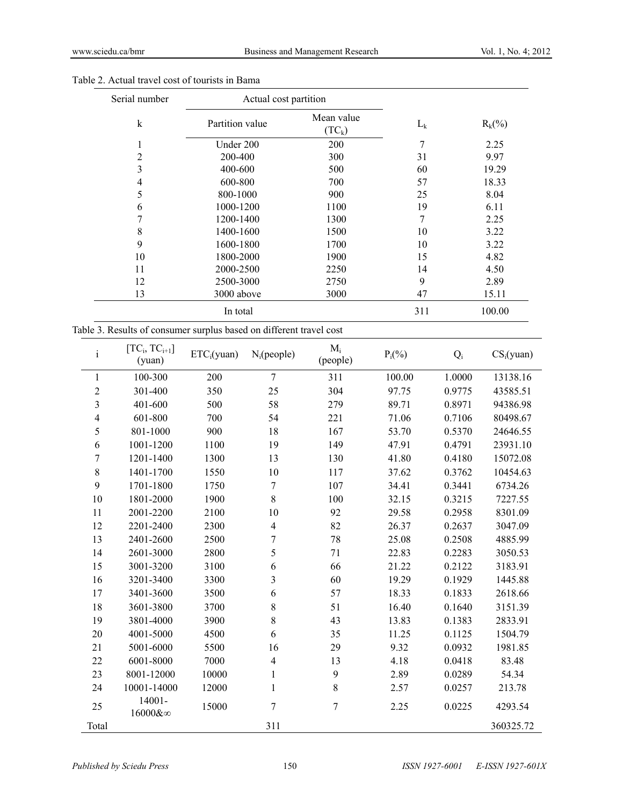| Serial number | Actual cost partition |                        |         |           |
|---------------|-----------------------|------------------------|---------|-----------|
| k             | Partition value       | Mean value<br>$(TC_k)$ | $L_{k}$ | $R_k$ (%) |
| 1             | Under 200             | 200                    | 7       | 2.25      |
| 2             | 200-400               | 300                    | 31      | 9.97      |
| 3             | 400-600               | 500                    | 60      | 19.29     |
| 4             | 600-800               | 700                    | 57      | 18.33     |
| 5             | 800-1000              | 900                    | 25      | 8.04      |
| 6             | 1000-1200             | 1100                   | 19      | 6.11      |
| 7             | 1200-1400             | 1300                   | 7       | 2.25      |
| 8             | 1400-1600             | 1500                   | 10      | 3.22      |
| 9             | 1600-1800             | 1700                   | 10      | 3.22      |
| 10            | 1800-2000             | 1900                   | 15      | 4.82      |
| 11            | 2000-2500             | 2250                   | 14      | 4.50      |
| 12            | 2500-3000             | 2750                   | 9       | 2.89      |
| 13            | 3000 above            | 3000                   | 47      | 15.11     |
|               | In total              |                        | 311     | 100.00    |

# Table 2. Actual travel cost of tourists in Bama

| Table 3. Results of consumer surplus based on different travel cost |  |  |  |  |  |  |  |
|---------------------------------------------------------------------|--|--|--|--|--|--|--|
|---------------------------------------------------------------------|--|--|--|--|--|--|--|

| $\rm i$                 | $[TC_i, TC_{i+1}]$<br>(yuan) | ETC <sub>i</sub> (yuan) | $N_i$ (people)   | $M_i$<br>(people) | $P_i(\%)$ | $Q_i$  | $CS_i(yuan)$ |
|-------------------------|------------------------------|-------------------------|------------------|-------------------|-----------|--------|--------------|
| 1                       | 100-300                      | 200                     | $\overline{7}$   | 311               | 100.00    | 1.0000 | 13138.16     |
| $\mathbf{2}$            | 301-400                      | 350                     | 25               | 304               | 97.75     | 0.9775 | 43585.51     |
| 3                       | 401-600                      | 500                     | 58               | 279               | 89.71     | 0.8971 | 94386.98     |
| $\overline{\mathbf{4}}$ | 601-800                      | 700                     | 54               | 221               | 71.06     | 0.7106 | 80498.67     |
| 5                       | 801-1000                     | 900                     | 18               | 167               | 53.70     | 0.5370 | 24646.55     |
| 6                       | 1001-1200                    | 1100                    | 19               | 149               | 47.91     | 0.4791 | 23931.10     |
| 7                       | 1201-1400                    | 1300                    | 13               | 130               | 41.80     | 0.4180 | 15072.08     |
| $8\,$                   | 1401-1700                    | 1550                    | 10               | 117               | 37.62     | 0.3762 | 10454.63     |
| 9                       | 1701-1800                    | 1750                    | $\overline{7}$   | 107               | 34.41     | 0.3441 | 6734.26      |
| 10                      | 1801-2000                    | 1900                    | 8                | 100               | 32.15     | 0.3215 | 7227.55      |
| 11                      | 2001-2200                    | 2100                    | 10               | 92                | 29.58     | 0.2958 | 8301.09      |
| 12                      | 2201-2400                    | 2300                    | $\overline{4}$   | 82                | 26.37     | 0.2637 | 3047.09      |
| 13                      | 2401-2600                    | 2500                    | $\boldsymbol{7}$ | 78                | 25.08     | 0.2508 | 4885.99      |
| 14                      | 2601-3000                    | 2800                    | 5                | 71                | 22.83     | 0.2283 | 3050.53      |
| 15                      | 3001-3200                    | 3100                    | 6                | 66                | 21.22     | 0.2122 | 3183.91      |
| 16                      | 3201-3400                    | 3300                    | 3                | 60                | 19.29     | 0.1929 | 1445.88      |
| 17                      | 3401-3600                    | 3500                    | 6                | 57                | 18.33     | 0.1833 | 2618.66      |
| 18                      | 3601-3800                    | 3700                    | $\,8\,$          | 51                | 16.40     | 0.1640 | 3151.39      |
| 19                      | 3801-4000                    | 3900                    | $\,8\,$          | 43                | 13.83     | 0.1383 | 2833.91      |
| 20                      | 4001-5000                    | 4500                    | 6                | 35                | 11.25     | 0.1125 | 1504.79      |
| 21                      | 5001-6000                    | 5500                    | 16               | 29                | 9.32      | 0.0932 | 1981.85      |
| 22                      | 6001-8000                    | 7000                    | 4                | 13                | 4.18      | 0.0418 | 83.48        |
| 23                      | 8001-12000                   | 10000                   | $\mathbf{1}$     | 9                 | 2.89      | 0.0289 | 54.34        |
| 24                      | 10001-14000                  | 12000                   | $\mathbf{1}$     | $\,8\,$           | 2.57      | 0.0257 | 213.78       |
| 25                      | 14001-<br>16000&∞            | 15000                   | $\overline{7}$   | $\overline{7}$    | 2.25      | 0.0225 | 4293.54      |
| Total                   |                              |                         | 311              |                   |           |        | 360325.72    |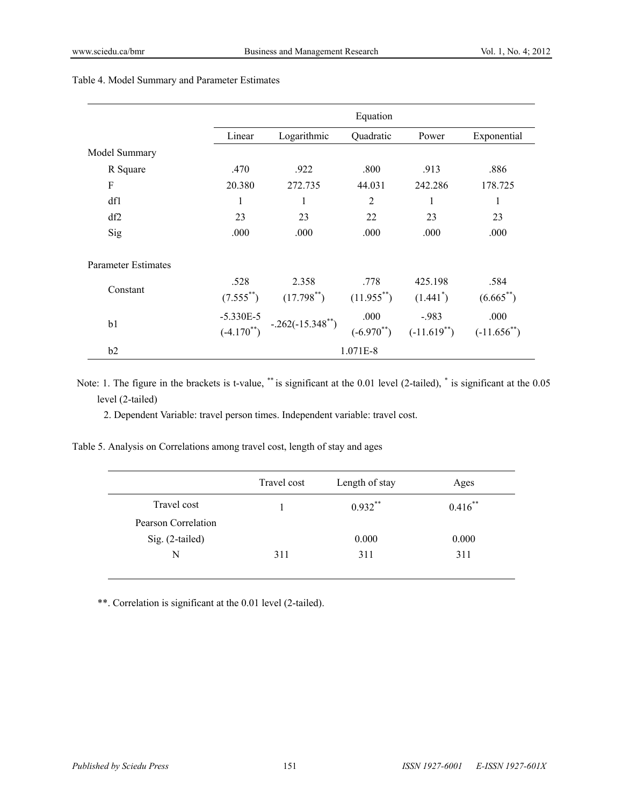|                     |                 | Equation              |                 |                  |                  |
|---------------------|-----------------|-----------------------|-----------------|------------------|------------------|
|                     | Linear          | Logarithmic           | Quadratic       | Power            | Exponential      |
| Model Summary       |                 |                       |                 |                  |                  |
| R Square            | .470            | .922                  | .800            | .913             | .886             |
| F                   | 20.380          | 272.735               | 44.031          | 242.286          | 178.725          |
| df1                 | 1               | 1                     | 2               | 1                | 1                |
| df2                 | 23              | 23                    | 22              | 23               | 23               |
| Sig                 | .000            | .000                  | .000            | .000             | .000             |
| Parameter Estimates |                 |                       |                 |                  |                  |
|                     | .528            | 2.358                 | .778            | 425.198          | .584             |
| Constant            | $(7.555^{**})$  | $(17.798^{**})$       | $(11.955^{**})$ | $(1.441^*)$      | $(6.665^{**})$   |
|                     | $-5.330E-5$     |                       | .000            | $-.983$          | .000             |
| b1                  | $(-4.170^{**})$ | $-.262(-15.348^{**})$ | $(-6.970^{**})$ | $(-11.619^{**})$ | $(-11.656^{**})$ |
| b2                  | 1.071E-8        |                       |                 |                  |                  |

# Table 4. Model Summary and Parameter Estimates

Note: 1. The figure in the brackets is t-value, \*\* is significant at the 0.01 level (2-tailed), \* is significant at the 0.05 level (2-tailed)

2. Dependent Variable: travel person times. Independent variable: travel cost.

| Table 5. Analysis on Correlations among travel cost, length of stay and ages |  |
|------------------------------------------------------------------------------|--|
|                                                                              |  |

| Travel cost | Length of stay | Ages       |
|-------------|----------------|------------|
|             | $0.932**$      | $0.416$ ** |
|             |                |            |
|             | 0.000          | 0.000      |
| 311         | 311            | 311        |
|             |                |            |

\*\*. Correlation is significant at the 0.01 level (2-tailed).